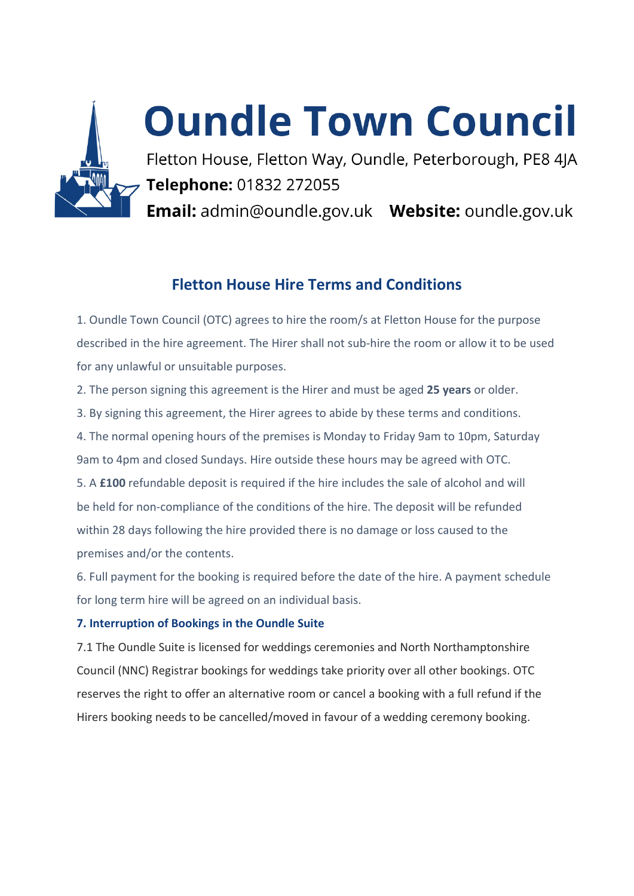

# **Oundle Town Council**

Fletton House, Fletton Way, Oundle, Peterborough, PE8 4JA Telephone: 01832 272055 Email: admin@oundle.gov.uk Website: oundle.gov.uk

# **Fletton House Hire Terms and Conditions**

1. Oundle Town Council (OTC) agrees to hire the room/s at Fletton House for the purpose described in the hire agreement. The Hirer shall not sub-hire the room or allow it to be used for any unlawful or unsuitable purposes.

2. The person signing this agreement is the Hirer and must be aged **25 years** or older.

3. By signing this agreement, the Hirer agrees to abide by these terms and conditions.

4. The normal opening hours of the premises is Monday to Friday 9am to 10pm, Saturday 9am to 4pm and closed Sundays. Hire outside these hours may be agreed with OTC.

5. A **£100** refundable deposit is required if the hire includes the sale of alcohol and will be held for non-compliance of the conditions of the hire. The deposit will be refunded within 28 days following the hire provided there is no damage or loss caused to the premises and/or the contents.

6. Full payment for the booking is required before the date of the hire. A payment schedule for long term hire will be agreed on an individual basis.

# **7. Interruption of Bookings in the Oundle Suite**

7.1 The Oundle Suite is licensed for weddings ceremonies and North Northamptonshire Council (NNC) Registrar bookings for weddings take priority over all other bookings. OTC reserves the right to offer an alternative room or cancel a booking with a full refund if the Hirers booking needs to be cancelled/moved in favour of a wedding ceremony booking.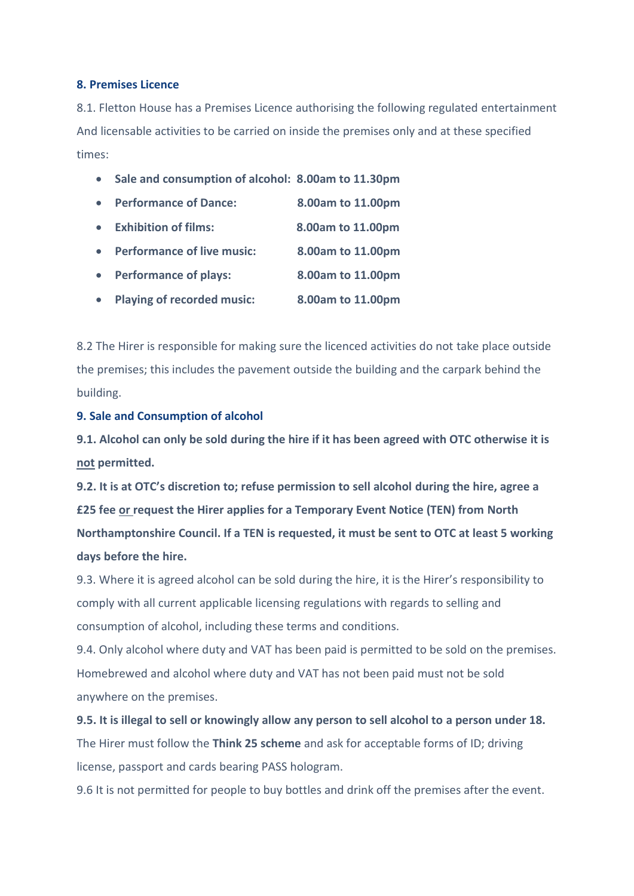#### **8. Premises Licence**

8.1. Fletton House has a Premises Licence authorising the following regulated entertainment And licensable activities to be carried on inside the premises only and at these specified times:

- **Sale and consumption of alcohol: 8.00am to 11.30pm**
- **Performance of Dance: 8.00am to 11.00pm**
- **Exhibition of films: 8.00am to 11.00pm**
- **Performance of live music: 8.00am to 11.00pm**
- **Performance of plays: 8.00am to 11.00pm**
- **Playing of recorded music: 8.00am to 11.00pm**

8.2 The Hirer is responsible for making sure the licenced activities do not take place outside the premises; this includes the pavement outside the building and the carpark behind the building.

#### **9. Sale and Consumption of alcohol**

**9.1. Alcohol can only be sold during the hire if it has been agreed with OTC otherwise it is not permitted.** 

**9.2. It is at OTC's discretion to; refuse permission to sell alcohol during the hire, agree a £25 fee or request the Hirer applies for a Temporary Event Notice (TEN) from North Northamptonshire Council. If a TEN is requested, it must be sent to OTC at least 5 working days before the hire.** 

9.3. Where it is agreed alcohol can be sold during the hire, it is the Hirer's responsibility to comply with all current applicable licensing regulations with regards to selling and consumption of alcohol, including these terms and conditions.

9.4. Only alcohol where duty and VAT has been paid is permitted to be sold on the premises. Homebrewed and alcohol where duty and VAT has not been paid must not be sold anywhere on the premises.

**9.5. It is illegal to sell or knowingly allow any person to sell alcohol to a person under 18.** The Hirer must follow the **Think 25 scheme** and ask for acceptable forms of ID; driving license, passport and cards bearing PASS hologram.

9.6 It is not permitted for people to buy bottles and drink off the premises after the event.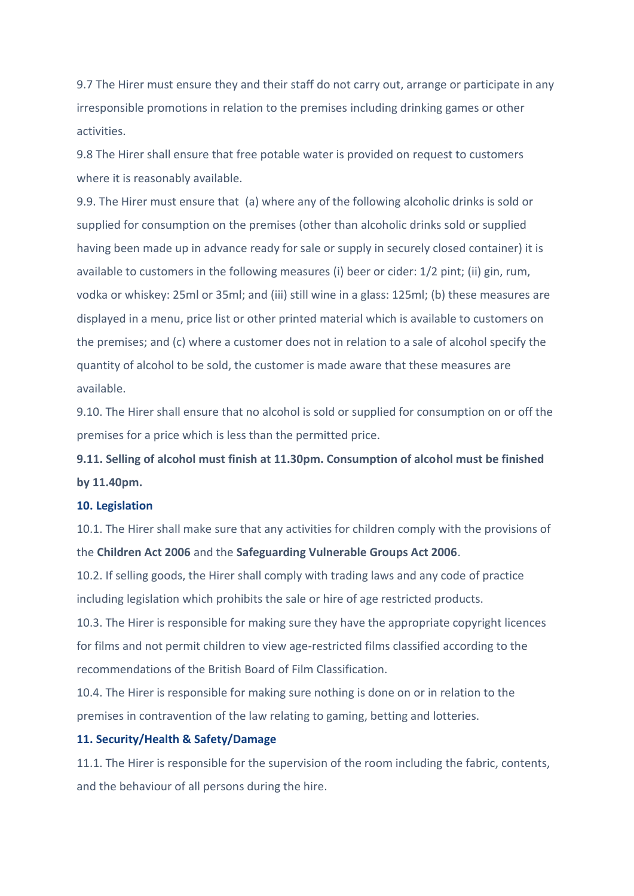9.7 The Hirer must ensure they and their staff do not carry out, arrange or participate in any irresponsible promotions in relation to the premises including drinking games or other activities.

9.8 The Hirer shall ensure that free potable water is provided on request to customers where it is reasonably available.

9.9. The Hirer must ensure that (a) where any of the following alcoholic drinks is sold or supplied for consumption on the premises (other than alcoholic drinks sold or supplied having been made up in advance ready for sale or supply in securely closed container) it is available to customers in the following measures (i) beer or cider: 1/2 pint; (ii) gin, rum, vodka or whiskey: 25ml or 35ml; and (iii) still wine in a glass: 125ml; (b) these measures are displayed in a menu, price list or other printed material which is available to customers on the premises; and (c) where a customer does not in relation to a sale of alcohol specify the quantity of alcohol to be sold, the customer is made aware that these measures are available.

9.10. The Hirer shall ensure that no alcohol is sold or supplied for consumption on or off the premises for a price which is less than the permitted price.

**9.11. Selling of alcohol must finish at 11.30pm. Consumption of alcohol must be finished by 11.40pm.**

#### **10. Legislation**

10.1. The Hirer shall make sure that any activities for children comply with the provisions of the **Children Act 2006** and the **Safeguarding Vulnerable Groups Act 2006**.

10.2. If selling goods, the Hirer shall comply with trading laws and any code of practice including legislation which prohibits the sale or hire of age restricted products.

10.3. The Hirer is responsible for making sure they have the appropriate copyright licences for films and not permit children to view age-restricted films classified according to the recommendations of the British Board of Film Classification.

10.4. The Hirer is responsible for making sure nothing is done on or in relation to the premises in contravention of the law relating to gaming, betting and lotteries.

#### **11. Security/Health & Safety/Damage**

11.1. The Hirer is responsible for the supervision of the room including the fabric, contents, and the behaviour of all persons during the hire.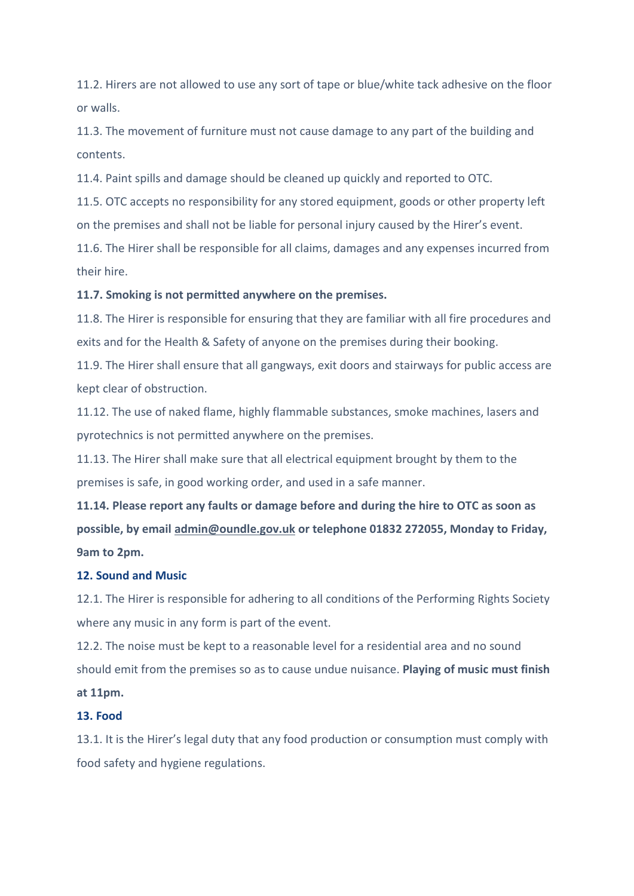11.2. Hirers are not allowed to use any sort of tape or blue/white tack adhesive on the floor or walls.

11.3. The movement of furniture must not cause damage to any part of the building and contents.

11.4. Paint spills and damage should be cleaned up quickly and reported to OTC.

11.5. OTC accepts no responsibility for any stored equipment, goods or other property left on the premises and shall not be liable for personal injury caused by the Hirer's event.

11.6. The Hirer shall be responsible for all claims, damages and any expenses incurred from their hire.

#### **11.7. Smoking is not permitted anywhere on the premises.**

11.8. The Hirer is responsible for ensuring that they are familiar with all fire procedures and exits and for the Health & Safety of anyone on the premises during their booking.

11.9. The Hirer shall ensure that all gangways, exit doors and stairways for public access are kept clear of obstruction.

11.12. The use of naked flame, highly flammable substances, smoke machines, lasers and pyrotechnics is not permitted anywhere on the premises.

11.13. The Hirer shall make sure that all electrical equipment brought by them to the premises is safe, in good working order, and used in a safe manner.

**11.14. Please report any faults or damage before and during the hire to OTC as soon as possible, by email [admin@oundle.gov.uk](mailto:admin@oundle.gov.uk) or telephone 01832 272055, Monday to Friday, 9am to 2pm.** 

#### **12. Sound and Music**

12.1. The Hirer is responsible for adhering to all conditions of the Performing Rights Society where any music in any form is part of the event.

12.2. The noise must be kept to a reasonable level for a residential area and no sound should emit from the premises so as to cause undue nuisance. **Playing of music must finish at 11pm.**

#### **13. Food**

13.1. It is the Hirer's legal duty that any food production or consumption must comply with food safety and hygiene regulations.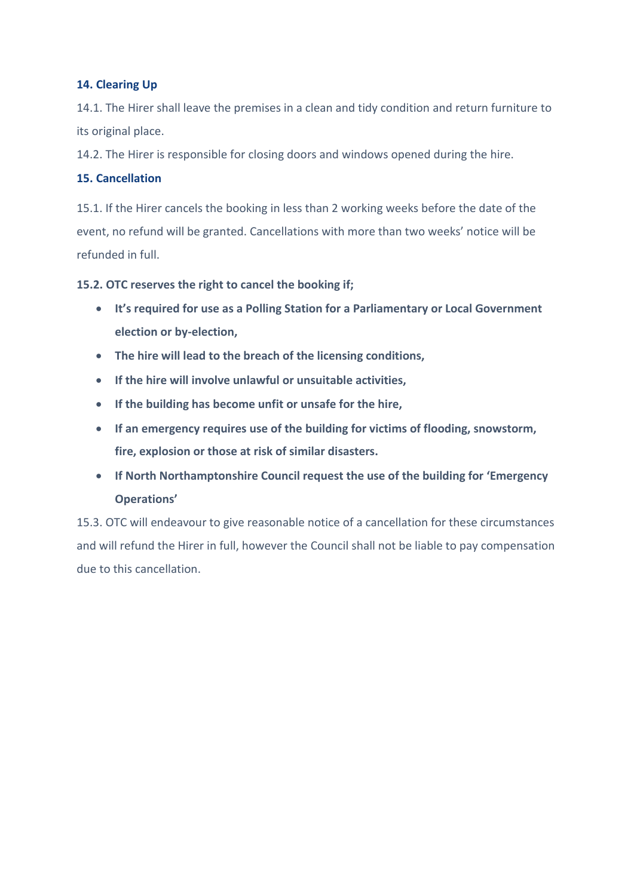## **14. Clearing Up**

14.1. The Hirer shall leave the premises in a clean and tidy condition and return furniture to its original place.

14.2. The Hirer is responsible for closing doors and windows opened during the hire.

## **15. Cancellation**

15.1. If the Hirer cancels the booking in less than 2 working weeks before the date of the event, no refund will be granted. Cancellations with more than two weeks' notice will be refunded in full.

**15.2. OTC reserves the right to cancel the booking if;**

- **It's required for use as a Polling Station for a Parliamentary or Local Government election or by-election,**
- **The hire will lead to the breach of the licensing conditions,**
- **If the hire will involve unlawful or unsuitable activities,**
- **If the building has become unfit or unsafe for the hire,**
- **If an emergency requires use of the building for victims of flooding, snowstorm, fire, explosion or those at risk of similar disasters.**
- **If North Northamptonshire Council request the use of the building for 'Emergency Operations'**

15.3. OTC will endeavour to give reasonable notice of a cancellation for these circumstances and will refund the Hirer in full, however the Council shall not be liable to pay compensation due to this cancellation.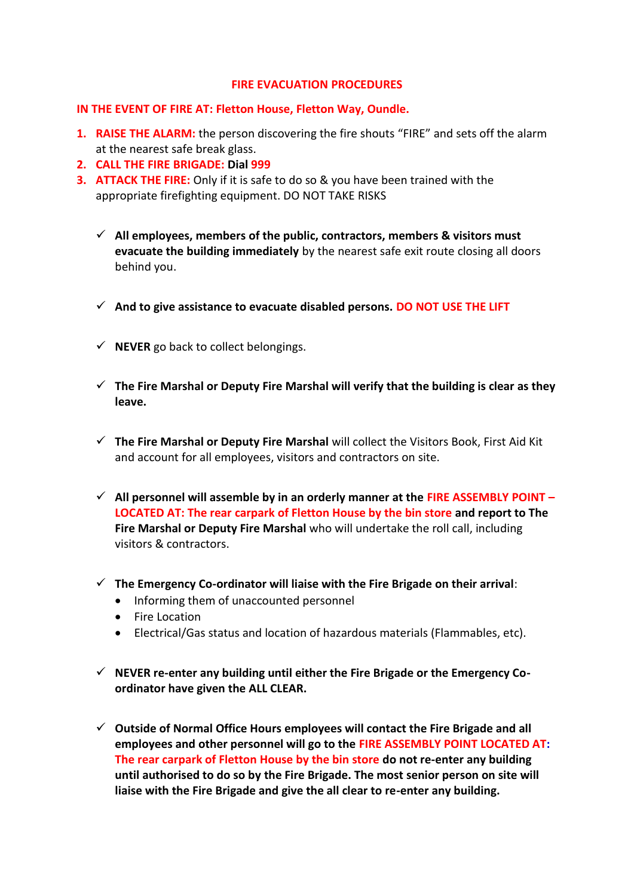#### **FIRE EVACUATION PROCEDURES**

#### **IN THE EVENT OF FIRE AT: Fletton House, Fletton Way, Oundle.**

- **1. RAISE THE ALARM:** the person discovering the fire shouts "FIRE" and sets off the alarm at the nearest safe break glass.
- **2. CALL THE FIRE BRIGADE: Dial 999**
- **3. ATTACK THE FIRE:** Only if it is safe to do so & you have been trained with the appropriate firefighting equipment. DO NOT TAKE RISKS
	- ✓ **All employees, members of the public, contractors, members & visitors must evacuate the building immediately** by the nearest safe exit route closing all doors behind you.
	- ✓ **And to give assistance to evacuate disabled persons. DO NOT USE THE LIFT**
	- ✓ **NEVER** go back to collect belongings.
	- ✓ **The Fire Marshal or Deputy Fire Marshal will verify that the building is clear as they leave.**
	- ✓ **The Fire Marshal or Deputy Fire Marshal** will collect the Visitors Book, First Aid Kit and account for all employees, visitors and contractors on site.
	- ✓ **All personnel will assemble by in an orderly manner at the FIRE ASSEMBLY POINT – LOCATED AT: The rear carpark of Fletton House by the bin store and report to The Fire Marshal or Deputy Fire Marshal** who will undertake the roll call, including visitors & contractors.
	- ✓ **The Emergency Co-ordinator will liaise with the Fire Brigade on their arrival**:
		- Informing them of unaccounted personnel
		- Fire Location
		- Electrical/Gas status and location of hazardous materials (Flammables, etc).
	- ✓ **NEVER re-enter any building until either the Fire Brigade or the Emergency Coordinator have given the ALL CLEAR.**
	- ✓ **Outside of Normal Office Hours employees will contact the Fire Brigade and all employees and other personnel will go to the FIRE ASSEMBLY POINT LOCATED AT: The rear carpark of Fletton House by the bin store do not re-enter any building until authorised to do so by the Fire Brigade. The most senior person on site will liaise with the Fire Brigade and give the all clear to re-enter any building.**